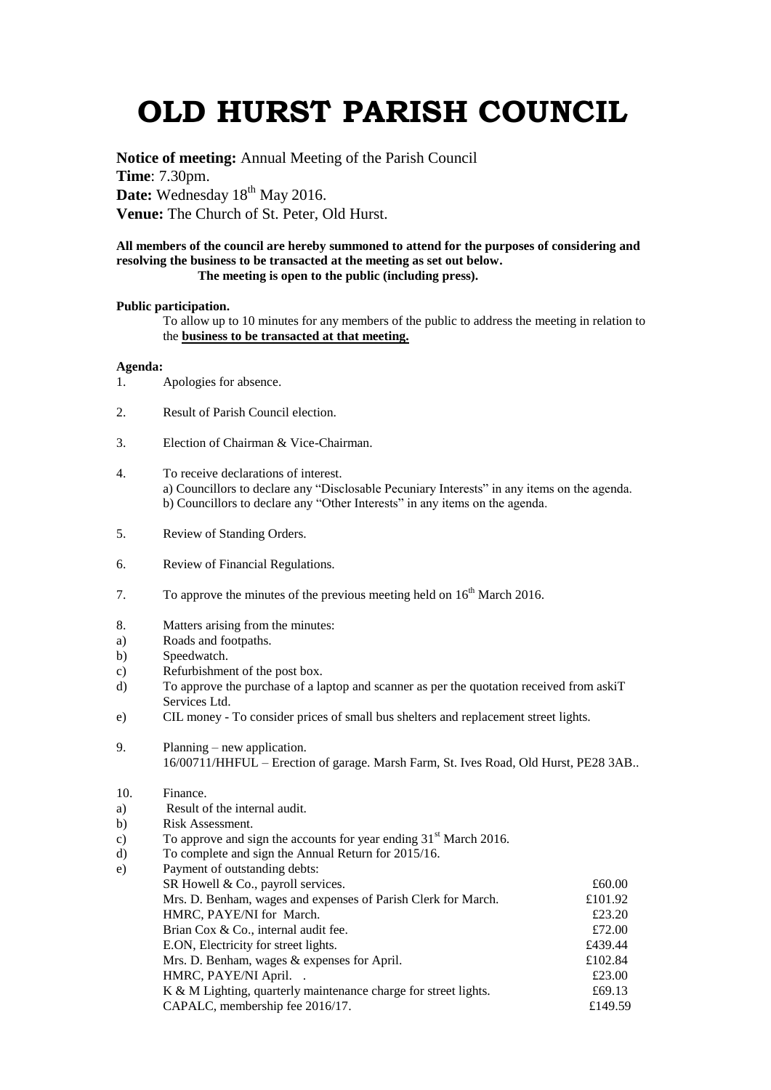## **OLD HURST PARISH COUNCIL**

**Notice of meeting:** Annual Meeting of the Parish Council **Time**: 7.30pm. Date: Wednesday 18<sup>th</sup> May 2016. **Venue:** The Church of St. Peter, Old Hurst.

## **All members of the council are hereby summoned to attend for the purposes of considering and resolving the business to be transacted at the meeting as set out below. The meeting is open to the public (including press).**

## **Public participation.**

To allow up to 10 minutes for any members of the public to address the meeting in relation to the **business to be transacted at that meeting.** 

## **Agenda:**

- 1. Apologies for absence.
- 2. Result of Parish Council election.
- 3. Election of Chairman & Vice-Chairman.
- 4. To receive declarations of interest. a) Councillors to declare any "Disclosable Pecuniary Interests" in any items on the agenda. b) Councillors to declare any "Other Interests" in any items on the agenda.
- 5. Review of Standing Orders.
- 6. Review of Financial Regulations.
- 7. To approve the minutes of the previous meeting held on  $16<sup>th</sup>$  March 2016.
- 8. Matters arising from the minutes:
- a) Roads and footpaths.
- b) Speedwatch.
- c) Refurbishment of the post box.
- d) To approve the purchase of a laptop and scanner as per the quotation received from askiT Services Ltd.
- e) CIL money To consider prices of small bus shelters and replacement street lights.
- 9. Planning new application. 16/00711/HHFUL – Erection of garage. Marsh Farm, St. Ives Road, Old Hurst, PE28 3AB..
- 10. Finance.
- a) Result of the internal audit.
- b) Risk Assessment.
- c) To approve and sign the accounts for year ending  $31<sup>st</sup>$  March 2016.
- d) To complete and sign the Annual Return for 2015/16.

| Payment of outstanding debts:                                   |         |
|-----------------------------------------------------------------|---------|
| SR Howell & Co., payroll services.                              | £60.00  |
| Mrs. D. Benham, wages and expenses of Parish Clerk for March.   | £101.92 |
| HMRC, PAYE/NI for March.                                        | £23.20  |
| Brian Cox & Co., internal audit fee.                            | £72.00  |
| E.ON, Electricity for street lights.                            | £439.44 |
| Mrs. D. Benham, wages & expenses for April.                     | £102.84 |
| HMRC, PAYE/NI April                                             | £23.00  |
| K & M Lighting, quarterly maintenance charge for street lights. | £69.13  |
| CAPALC, membership fee 2016/17.                                 | £149.59 |
|                                                                 |         |